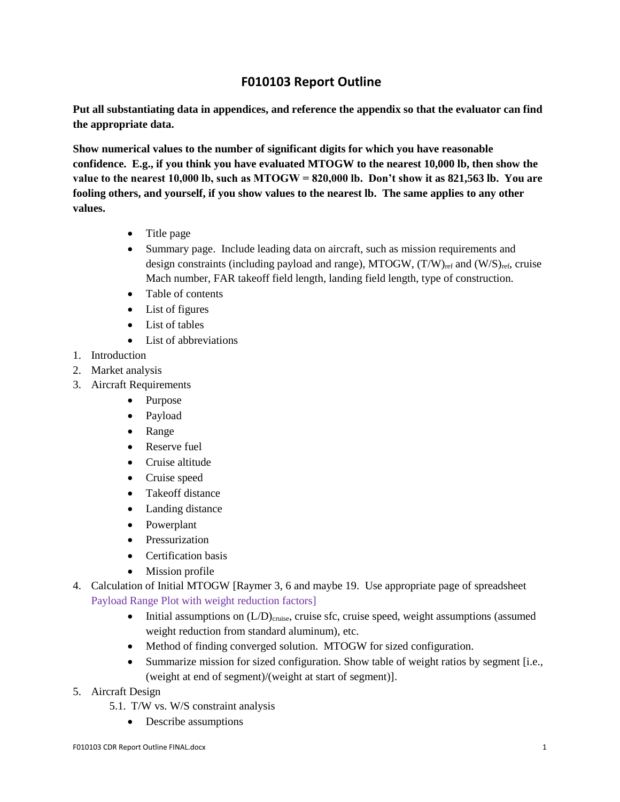## **F010103 Report Outline**

**Put all substantiating data in appendices, and reference the appendix so that the evaluator can find the appropriate data.**

**Show numerical values to the number of significant digits for which you have reasonable confidence. E.g., if you think you have evaluated MTOGW to the nearest 10,000 lb, then show the value to the nearest 10,000 lb, such as MTOGW = 820,000 lb. Don't show it as 821,563 lb. You are fooling others, and yourself, if you show values to the nearest lb. The same applies to any other values.** 

- Title page
- Summary page. Include leading data on aircraft, such as mission requirements and design constraints (including payload and range), MTOGW,  $(T/W)_{ref}$  and  $(W/S)_{ref}$ , cruise Mach number, FAR takeoff field length, landing field length, type of construction.
- Table of contents
- List of figures
- List of tables
- List of abbreviations
- 1. Introduction
- 2. Market analysis
- 3. Aircraft Requirements
	- Purpose
	- Payload
	- Range
	- Reserve fuel
	- Cruise altitude
	- Cruise speed
	- Takeoff distance
	- Landing distance
	- Powerplant
	- Pressurization
	- Certification basis
	- Mission profile
- 4. Calculation of Initial MTOGW [Raymer 3, 6 and maybe 19. Use appropriate page of spreadsheet Payload Range Plot with weight reduction factors]
	- $\bullet$  Initial assumptions on  $(L/D)_{\text{cruise}}$ , cruise sfc, cruise speed, weight assumptions (assumed weight reduction from standard aluminum), etc.
	- Method of finding converged solution. MTOGW for sized configuration.
	- Summarize mission for sized configuration. Show table of weight ratios by segment [i.e., (weight at end of segment)/(weight at start of segment)].
- 5. Aircraft Design
	- 5.1. T/W vs. W/S constraint analysis
		- Describe assumptions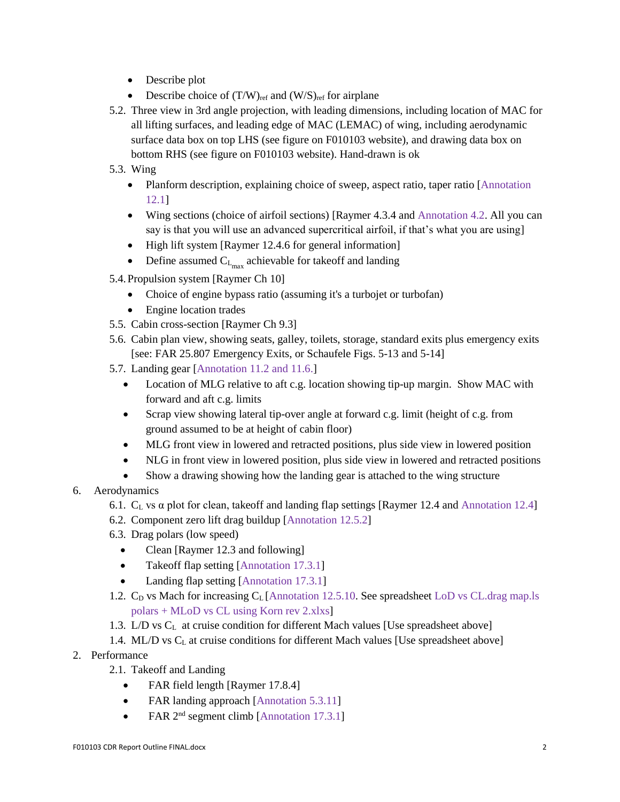- Describe plot
- Describe choice of  $(T/W)_{ref}$  and  $(W/S)_{ref}$  for airplane
- 5.2. Three view in 3rd angle projection, with leading dimensions, including location of MAC for all lifting surfaces, and leading edge of MAC (LEMAC) of wing, including aerodynamic surface data box on top LHS (see figure on F010103 website), and drawing data box on bottom RHS (see figure on F010103 website). Hand-drawn is ok
- 5.3. Wing
	- Planform description, explaining choice of sweep, aspect ratio, taper ratio [Annotation] 12.1]
	- Wing sections (choice of airfoil sections) [Raymer 4.3.4 and Annotation 4.2. All you can say is that you will use an advanced supercritical airfoil, if that's what you are using]
	- High lift system [Raymer 12.4.6 for general information]
	- Define assumed  $C_{L_{max}}$  achievable for takeoff and landing
- 5.4.Propulsion system [Raymer Ch 10]
	- Choice of engine bypass ratio (assuming it's a turbojet or turbofan)
	- Engine location trades
- 5.5. Cabin cross-section [Raymer Ch 9.3]
- 5.6. Cabin plan view, showing seats, galley, toilets, storage, standard exits plus emergency exits [see: FAR 25.807 Emergency Exits, or Schaufele Figs. 5-13 and 5-14]
- 5.7. Landing gear [Annotation 11.2 and 11.6.]
	- Location of MLG relative to aft c.g. location showing tip-up margin. Show MAC with forward and aft c.g. limits
	- Scrap view showing lateral tip-over angle at forward c.g. limit (height of c.g. from ground assumed to be at height of cabin floor)
	- MLG front view in lowered and retracted positions, plus side view in lowered position
	- NLG in front view in lowered position, plus side view in lowered and retracted positions
	- Show a drawing showing how the landing gear is attached to the wing structure
- 6. Aerodynamics
	- 6.1.  $C_L$  vs  $\alpha$  plot for clean, takeoff and landing flap settings [Raymer 12.4 and Annotation 12.4]
	- 6.2. Component zero lift drag buildup [Annotation 12.5.2]
	- 6.3. Drag polars (low speed)
		- Clean [Raymer 12.3 and following]
		- Takeoff flap setting [Annotation 17.3.1]
		- Landing flap setting [Annotation 17.3.1]
	- 1.2.  $C_D$  vs Mach for increasing  $C_L$  [Annotation 12.5.10. See spreadsheet LoD vs CL.drag map.ls polars + MLoD vs CL using Korn rev 2.xlxs]
	- 1.3. L/D vs C<sup>L</sup> at cruise condition for different Mach values [Use spreadsheet above]
	- 1.4. ML/D vs C<sub>L</sub> at cruise conditions for different Mach values [Use spreadsheet above]
- 2. Performance
	- 2.1. Takeoff and Landing
		- FAR field length [Raymer 17.8.4]
		- FAR landing approach [Annotation 5.3.11]
		- FAR  $2<sup>nd</sup>$  segment climb [Annotation 17.3.1]